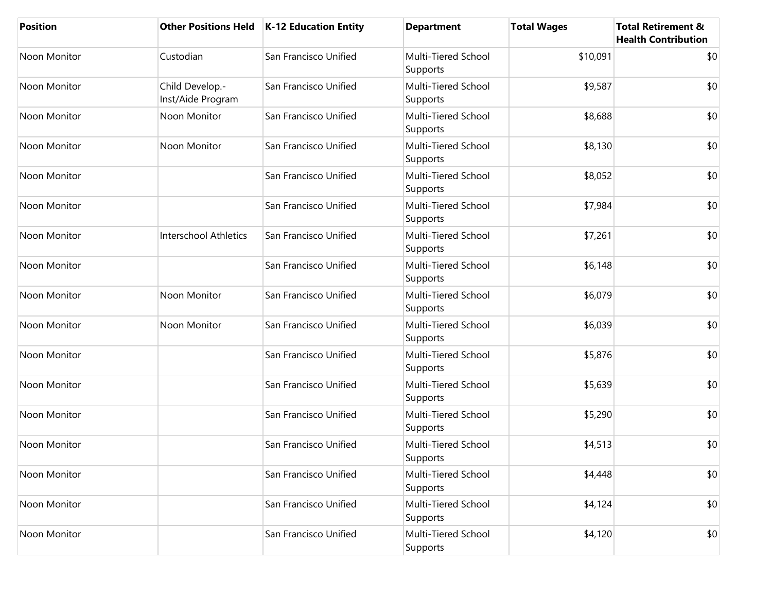| <b>Position</b> | <b>Other Positions Held</b>          | K-12 Education Entity | <b>Department</b>               | <b>Total Wages</b> | <b>Total Retirement &amp;</b><br><b>Health Contribution</b> |
|-----------------|--------------------------------------|-----------------------|---------------------------------|--------------------|-------------------------------------------------------------|
| Noon Monitor    | Custodian                            | San Francisco Unified | Multi-Tiered School<br>Supports | \$10,091           | \$0                                                         |
| Noon Monitor    | Child Develop.-<br>Inst/Aide Program | San Francisco Unified | Multi-Tiered School<br>Supports | \$9,587            | \$0                                                         |
| Noon Monitor    | Noon Monitor                         | San Francisco Unified | Multi-Tiered School<br>Supports | \$8,688            | \$0                                                         |
| Noon Monitor    | Noon Monitor                         | San Francisco Unified | Multi-Tiered School<br>Supports | \$8,130            | \$0                                                         |
| Noon Monitor    |                                      | San Francisco Unified | Multi-Tiered School<br>Supports | \$8,052            | \$0                                                         |
| Noon Monitor    |                                      | San Francisco Unified | Multi-Tiered School<br>Supports | \$7,984            | \$0                                                         |
| Noon Monitor    | <b>Interschool Athletics</b>         | San Francisco Unified | Multi-Tiered School<br>Supports | \$7,261            | \$0                                                         |
| Noon Monitor    |                                      | San Francisco Unified | Multi-Tiered School<br>Supports | \$6,148            | \$0                                                         |
| Noon Monitor    | Noon Monitor                         | San Francisco Unified | Multi-Tiered School<br>Supports | \$6,079            | \$0                                                         |
| Noon Monitor    | Noon Monitor                         | San Francisco Unified | Multi-Tiered School<br>Supports | \$6,039            | \$0                                                         |
| Noon Monitor    |                                      | San Francisco Unified | Multi-Tiered School<br>Supports | \$5,876            | \$0                                                         |
| Noon Monitor    |                                      | San Francisco Unified | Multi-Tiered School<br>Supports | \$5,639            | \$0                                                         |
| Noon Monitor    |                                      | San Francisco Unified | Multi-Tiered School<br>Supports | \$5,290            | \$0                                                         |
| Noon Monitor    |                                      | San Francisco Unified | Multi-Tiered School<br>Supports | \$4,513            | \$0                                                         |
| Noon Monitor    |                                      | San Francisco Unified | Multi-Tiered School<br>Supports | \$4,448            | \$0                                                         |
| Noon Monitor    |                                      | San Francisco Unified | Multi-Tiered School<br>Supports | \$4,124            | \$0                                                         |
| Noon Monitor    |                                      | San Francisco Unified | Multi-Tiered School<br>Supports | \$4,120            | \$0                                                         |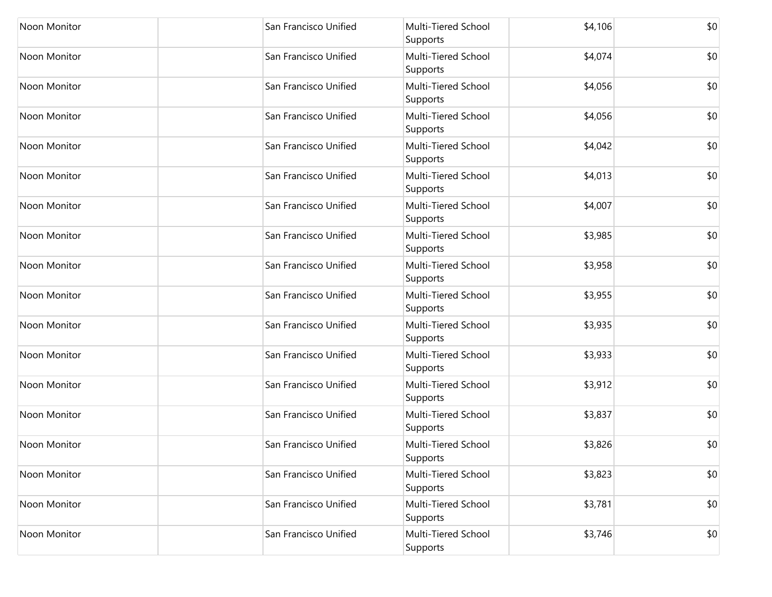| Noon Monitor | San Francisco Unified | Multi-Tiered School<br>Supports | \$4,106 | \$0 |
|--------------|-----------------------|---------------------------------|---------|-----|
| Noon Monitor | San Francisco Unified | Multi-Tiered School<br>Supports | \$4,074 | \$0 |
| Noon Monitor | San Francisco Unified | Multi-Tiered School<br>Supports | \$4,056 | \$0 |
| Noon Monitor | San Francisco Unified | Multi-Tiered School<br>Supports | \$4,056 | \$0 |
| Noon Monitor | San Francisco Unified | Multi-Tiered School<br>Supports | \$4,042 | \$0 |
| Noon Monitor | San Francisco Unified | Multi-Tiered School<br>Supports | \$4,013 | \$0 |
| Noon Monitor | San Francisco Unified | Multi-Tiered School<br>Supports | \$4,007 | \$0 |
| Noon Monitor | San Francisco Unified | Multi-Tiered School<br>Supports | \$3,985 | \$0 |
| Noon Monitor | San Francisco Unified | Multi-Tiered School<br>Supports | \$3,958 | \$0 |
| Noon Monitor | San Francisco Unified | Multi-Tiered School<br>Supports | \$3,955 | \$0 |
| Noon Monitor | San Francisco Unified | Multi-Tiered School<br>Supports | \$3,935 | \$0 |
| Noon Monitor | San Francisco Unified | Multi-Tiered School<br>Supports | \$3,933 | \$0 |
| Noon Monitor | San Francisco Unified | Multi-Tiered School<br>Supports | \$3,912 | \$0 |
| Noon Monitor | San Francisco Unified | Multi-Tiered School<br>Supports | \$3,837 | \$0 |
| Noon Monitor | San Francisco Unified | Multi-Tiered School<br>Supports | \$3,826 | \$0 |
| Noon Monitor | San Francisco Unified | Multi-Tiered School<br>Supports | \$3,823 | \$0 |
| Noon Monitor | San Francisco Unified | Multi-Tiered School<br>Supports | \$3,781 | \$0 |
| Noon Monitor | San Francisco Unified | Multi-Tiered School<br>Supports | \$3,746 | \$0 |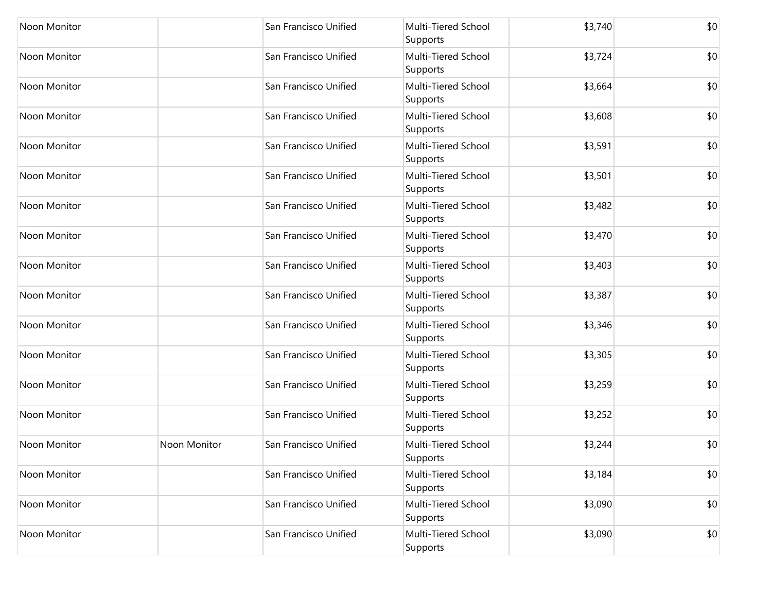| Noon Monitor        |              | San Francisco Unified | Multi-Tiered School<br>Supports | \$3,740 | \$0 |
|---------------------|--------------|-----------------------|---------------------------------|---------|-----|
| Noon Monitor        |              | San Francisco Unified | Multi-Tiered School<br>Supports | \$3,724 | \$0 |
| Noon Monitor        |              | San Francisco Unified | Multi-Tiered School<br>Supports | \$3,664 | \$0 |
| Noon Monitor        |              | San Francisco Unified | Multi-Tiered School<br>Supports | \$3,608 | \$0 |
| Noon Monitor        |              | San Francisco Unified | Multi-Tiered School<br>Supports | \$3,591 | \$0 |
| Noon Monitor        |              | San Francisco Unified | Multi-Tiered School<br>Supports | \$3,501 | \$0 |
| Noon Monitor        |              | San Francisco Unified | Multi-Tiered School<br>Supports | \$3,482 | \$0 |
| Noon Monitor        |              | San Francisco Unified | Multi-Tiered School<br>Supports | \$3,470 | \$0 |
| Noon Monitor        |              | San Francisco Unified | Multi-Tiered School<br>Supports | \$3,403 | \$0 |
| Noon Monitor        |              | San Francisco Unified | Multi-Tiered School<br>Supports | \$3,387 | \$0 |
| Noon Monitor        |              | San Francisco Unified | Multi-Tiered School<br>Supports | \$3,346 | \$0 |
| Noon Monitor        |              | San Francisco Unified | Multi-Tiered School<br>Supports | \$3,305 | \$0 |
| Noon Monitor        |              | San Francisco Unified | Multi-Tiered School<br>Supports | \$3,259 | \$0 |
| Noon Monitor        |              | San Francisco Unified | Multi-Tiered School<br>Supports | \$3,252 | \$0 |
| <b>Noon Monitor</b> | Noon Monitor | San Francisco Unified | Multi-Tiered School<br>Supports | \$3,244 | \$0 |
| Noon Monitor        |              | San Francisco Unified | Multi-Tiered School<br>Supports | \$3,184 | \$0 |
| Noon Monitor        |              | San Francisco Unified | Multi-Tiered School<br>Supports | \$3,090 | \$0 |
| Noon Monitor        |              | San Francisco Unified | Multi-Tiered School<br>Supports | \$3,090 | \$0 |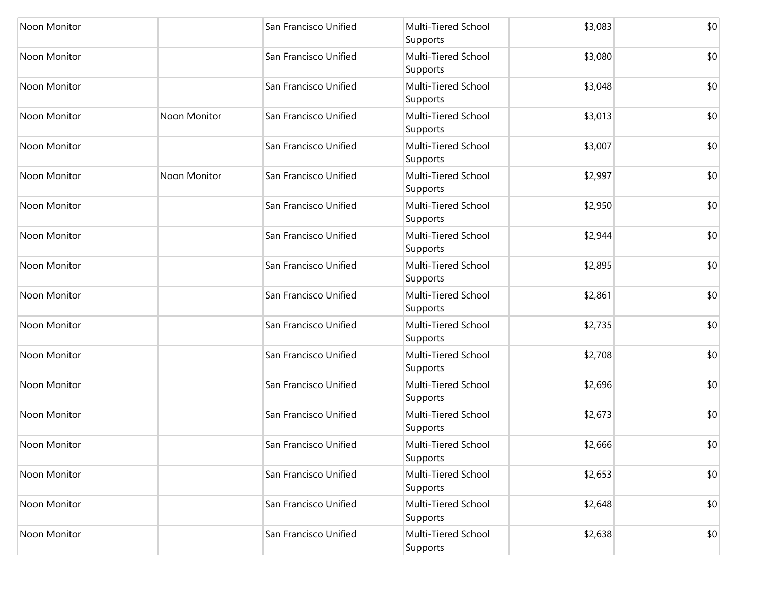| <b>Noon Monitor</b> |              | San Francisco Unified | Multi-Tiered School<br>Supports | \$3,083 | \$0 |
|---------------------|--------------|-----------------------|---------------------------------|---------|-----|
| Noon Monitor        |              | San Francisco Unified | Multi-Tiered School<br>Supports | \$3,080 | \$0 |
| Noon Monitor        |              | San Francisco Unified | Multi-Tiered School<br>Supports | \$3,048 | \$0 |
| Noon Monitor        | Noon Monitor | San Francisco Unified | Multi-Tiered School<br>Supports | \$3,013 | \$0 |
| Noon Monitor        |              | San Francisco Unified | Multi-Tiered School<br>Supports | \$3,007 | \$0 |
| Noon Monitor        | Noon Monitor | San Francisco Unified | Multi-Tiered School<br>Supports | \$2,997 | \$0 |
| Noon Monitor        |              | San Francisco Unified | Multi-Tiered School<br>Supports | \$2,950 | \$0 |
| Noon Monitor        |              | San Francisco Unified | Multi-Tiered School<br>Supports | \$2,944 | \$0 |
| <b>Noon Monitor</b> |              | San Francisco Unified | Multi-Tiered School<br>Supports | \$2,895 | \$0 |
| Noon Monitor        |              | San Francisco Unified | Multi-Tiered School<br>Supports | \$2,861 | \$0 |
| Noon Monitor        |              | San Francisco Unified | Multi-Tiered School<br>Supports | \$2,735 | \$0 |
| Noon Monitor        |              | San Francisco Unified | Multi-Tiered School<br>Supports | \$2,708 | \$0 |
| Noon Monitor        |              | San Francisco Unified | Multi-Tiered School<br>Supports | \$2,696 | \$0 |
| Noon Monitor        |              | San Francisco Unified | Multi-Tiered School<br>Supports | \$2,673 | \$0 |
| Noon Monitor        |              | San Francisco Unified | Multi-Tiered School<br>Supports | \$2,666 | \$0 |
| Noon Monitor        |              | San Francisco Unified | Multi-Tiered School<br>Supports | \$2,653 | \$0 |
| Noon Monitor        |              | San Francisco Unified | Multi-Tiered School<br>Supports | \$2,648 | \$0 |
| Noon Monitor        |              | San Francisco Unified | Multi-Tiered School<br>Supports | \$2,638 | \$0 |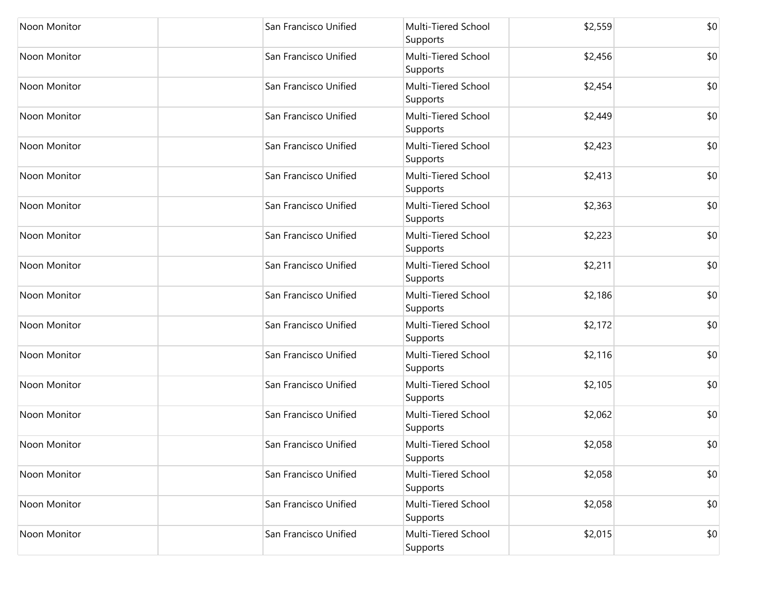| Noon Monitor        | San Francisco Unified | Multi-Tiered School<br>Supports | \$2,559 | \$0 |
|---------------------|-----------------------|---------------------------------|---------|-----|
| Noon Monitor        | San Francisco Unified | Multi-Tiered School<br>Supports | \$2,456 | \$0 |
| Noon Monitor        | San Francisco Unified | Multi-Tiered School<br>Supports | \$2,454 | \$0 |
| <b>Noon Monitor</b> | San Francisco Unified | Multi-Tiered School<br>Supports | \$2,449 | \$0 |
| <b>Noon Monitor</b> | San Francisco Unified | Multi-Tiered School<br>Supports | \$2,423 | \$0 |
| Noon Monitor        | San Francisco Unified | Multi-Tiered School<br>Supports | \$2,413 | \$0 |
| Noon Monitor        | San Francisco Unified | Multi-Tiered School<br>Supports | \$2,363 | \$0 |
| Noon Monitor        | San Francisco Unified | Multi-Tiered School<br>Supports | \$2,223 | \$0 |
| Noon Monitor        | San Francisco Unified | Multi-Tiered School<br>Supports | \$2,211 | \$0 |
| Noon Monitor        | San Francisco Unified | Multi-Tiered School<br>Supports | \$2,186 | \$0 |
| Noon Monitor        | San Francisco Unified | Multi-Tiered School<br>Supports | \$2,172 | \$0 |
| Noon Monitor        | San Francisco Unified | Multi-Tiered School<br>Supports | \$2,116 | \$0 |
| Noon Monitor        | San Francisco Unified | Multi-Tiered School<br>Supports | \$2,105 | \$0 |
| Noon Monitor        | San Francisco Unified | Multi-Tiered School<br>Supports | \$2,062 | \$0 |
| <b>Noon Monitor</b> | San Francisco Unified | Multi-Tiered School<br>Supports | \$2,058 | \$0 |
| Noon Monitor        | San Francisco Unified | Multi-Tiered School<br>Supports | \$2,058 | \$0 |
| Noon Monitor        | San Francisco Unified | Multi-Tiered School<br>Supports | \$2,058 | \$0 |
| Noon Monitor        | San Francisco Unified | Multi-Tiered School<br>Supports | \$2,015 | \$0 |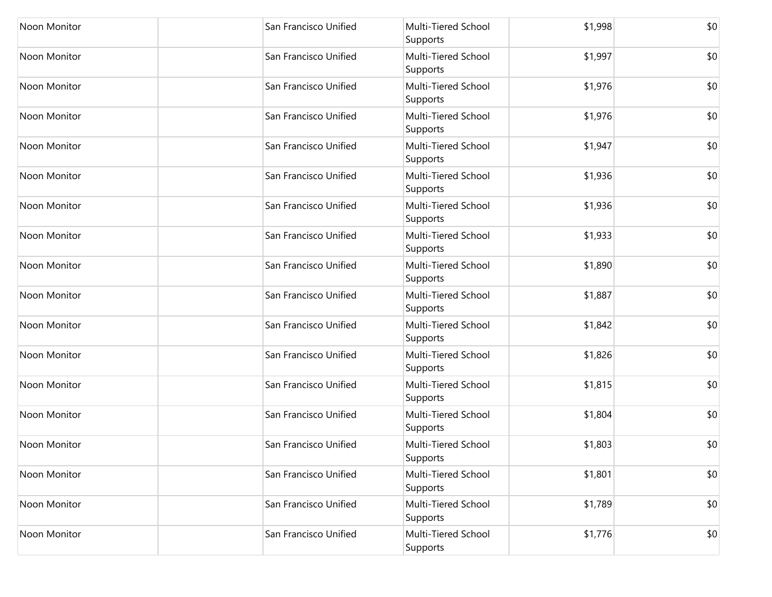| Noon Monitor | San Francisco Unified | Multi-Tiered School<br>Supports | \$1,998 | \$0 |
|--------------|-----------------------|---------------------------------|---------|-----|
| Noon Monitor | San Francisco Unified | Multi-Tiered School<br>Supports | \$1,997 | \$0 |
| Noon Monitor | San Francisco Unified | Multi-Tiered School<br>Supports | \$1,976 | \$0 |
| Noon Monitor | San Francisco Unified | Multi-Tiered School<br>Supports | \$1,976 | \$0 |
| Noon Monitor | San Francisco Unified | Multi-Tiered School<br>Supports | \$1,947 | \$0 |
| Noon Monitor | San Francisco Unified | Multi-Tiered School<br>Supports | \$1,936 | \$0 |
| Noon Monitor | San Francisco Unified | Multi-Tiered School<br>Supports | \$1,936 | \$0 |
| Noon Monitor | San Francisco Unified | Multi-Tiered School<br>Supports | \$1,933 | \$0 |
| Noon Monitor | San Francisco Unified | Multi-Tiered School<br>Supports | \$1,890 | \$0 |
| Noon Monitor | San Francisco Unified | Multi-Tiered School<br>Supports | \$1,887 | \$0 |
| Noon Monitor | San Francisco Unified | Multi-Tiered School<br>Supports | \$1,842 | \$0 |
| Noon Monitor | San Francisco Unified | Multi-Tiered School<br>Supports | \$1,826 | \$0 |
| Noon Monitor | San Francisco Unified | Multi-Tiered School<br>Supports | \$1,815 | \$0 |
| Noon Monitor | San Francisco Unified | Multi-Tiered School<br>Supports | \$1,804 | \$0 |
| Noon Monitor | San Francisco Unified | Multi-Tiered School<br>Supports | \$1,803 | \$0 |
| Noon Monitor | San Francisco Unified | Multi-Tiered School<br>Supports | \$1,801 | \$0 |
| Noon Monitor | San Francisco Unified | Multi-Tiered School<br>Supports | \$1,789 | \$0 |
| Noon Monitor | San Francisco Unified | Multi-Tiered School<br>Supports | \$1,776 | \$0 |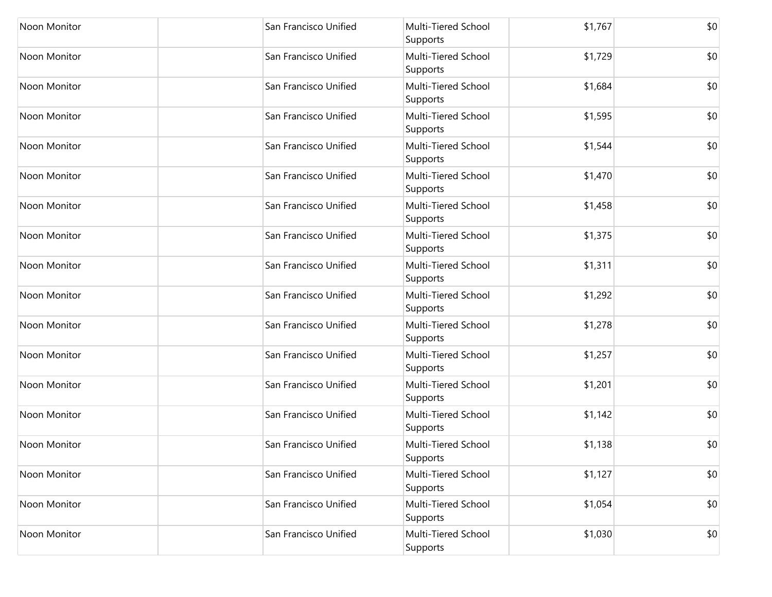| Noon Monitor        | San Francisco Unified | Multi-Tiered School<br>Supports | \$1,767 | \$0 |
|---------------------|-----------------------|---------------------------------|---------|-----|
| Noon Monitor        | San Francisco Unified | Multi-Tiered School<br>Supports | \$1,729 | \$0 |
| Noon Monitor        | San Francisco Unified | Multi-Tiered School<br>Supports | \$1,684 | \$0 |
| Noon Monitor        | San Francisco Unified | Multi-Tiered School<br>Supports | \$1,595 | \$0 |
| Noon Monitor        | San Francisco Unified | Multi-Tiered School<br>Supports | \$1,544 | \$0 |
| Noon Monitor        | San Francisco Unified | Multi-Tiered School<br>Supports | \$1,470 | \$0 |
| Noon Monitor        | San Francisco Unified | Multi-Tiered School<br>Supports | \$1,458 | \$0 |
| Noon Monitor        | San Francisco Unified | Multi-Tiered School<br>Supports | \$1,375 | \$0 |
| Noon Monitor        | San Francisco Unified | Multi-Tiered School<br>Supports | \$1,311 | \$0 |
| Noon Monitor        | San Francisco Unified | Multi-Tiered School<br>Supports | \$1,292 | \$0 |
| Noon Monitor        | San Francisco Unified | Multi-Tiered School<br>Supports | \$1,278 | \$0 |
| Noon Monitor        | San Francisco Unified | Multi-Tiered School<br>Supports | \$1,257 | \$0 |
| Noon Monitor        | San Francisco Unified | Multi-Tiered School<br>Supports | \$1,201 | \$0 |
| <b>Noon Monitor</b> | San Francisco Unified | Multi-Tiered School<br>Supports | \$1,142 | \$0 |
| Noon Monitor        | San Francisco Unified | Multi-Tiered School<br>Supports | \$1,138 | \$0 |
| Noon Monitor        | San Francisco Unified | Multi-Tiered School<br>Supports | \$1,127 | \$0 |
| Noon Monitor        | San Francisco Unified | Multi-Tiered School<br>Supports | \$1,054 | \$0 |
| Noon Monitor        | San Francisco Unified | Multi-Tiered School<br>Supports | \$1,030 | \$0 |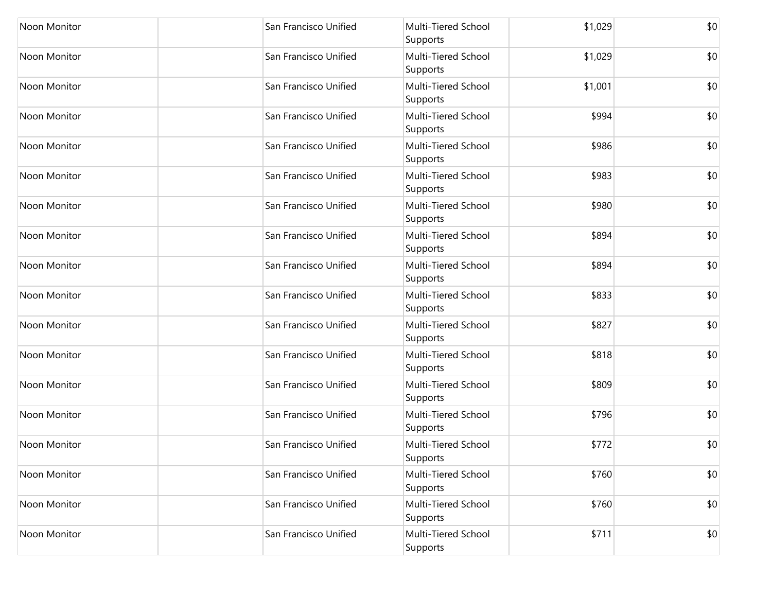| Noon Monitor        | San Francisco Unified | Multi-Tiered School<br>Supports | \$1,029 | \$0 |
|---------------------|-----------------------|---------------------------------|---------|-----|
| Noon Monitor        | San Francisco Unified | Multi-Tiered School<br>Supports | \$1,029 | \$0 |
| Noon Monitor        | San Francisco Unified | Multi-Tiered School<br>Supports | \$1,001 | \$0 |
| <b>Noon Monitor</b> | San Francisco Unified | Multi-Tiered School<br>Supports | \$994   | \$0 |
| Noon Monitor        | San Francisco Unified | Multi-Tiered School<br>Supports | \$986   | \$0 |
| Noon Monitor        | San Francisco Unified | Multi-Tiered School<br>Supports | \$983   | \$0 |
| Noon Monitor        | San Francisco Unified | Multi-Tiered School<br>Supports | \$980   | \$0 |
| <b>Noon Monitor</b> | San Francisco Unified | Multi-Tiered School<br>Supports | \$894   | \$0 |
| Noon Monitor        | San Francisco Unified | Multi-Tiered School<br>Supports | \$894   | \$0 |
| Noon Monitor        | San Francisco Unified | Multi-Tiered School<br>Supports | \$833   | \$0 |
| Noon Monitor        | San Francisco Unified | Multi-Tiered School<br>Supports | \$827   | \$0 |
| Noon Monitor        | San Francisco Unified | Multi-Tiered School<br>Supports | \$818   | \$0 |
| Noon Monitor        | San Francisco Unified | Multi-Tiered School<br>Supports | \$809   | \$0 |
| Noon Monitor        | San Francisco Unified | Multi-Tiered School<br>Supports | \$796   | \$0 |
| <b>Noon Monitor</b> | San Francisco Unified | Multi-Tiered School<br>Supports | \$772   | \$0 |
| Noon Monitor        | San Francisco Unified | Multi-Tiered School<br>Supports | \$760   | \$0 |
| Noon Monitor        | San Francisco Unified | Multi-Tiered School<br>Supports | \$760   | \$0 |
| Noon Monitor        | San Francisco Unified | Multi-Tiered School<br>Supports | \$711   | \$0 |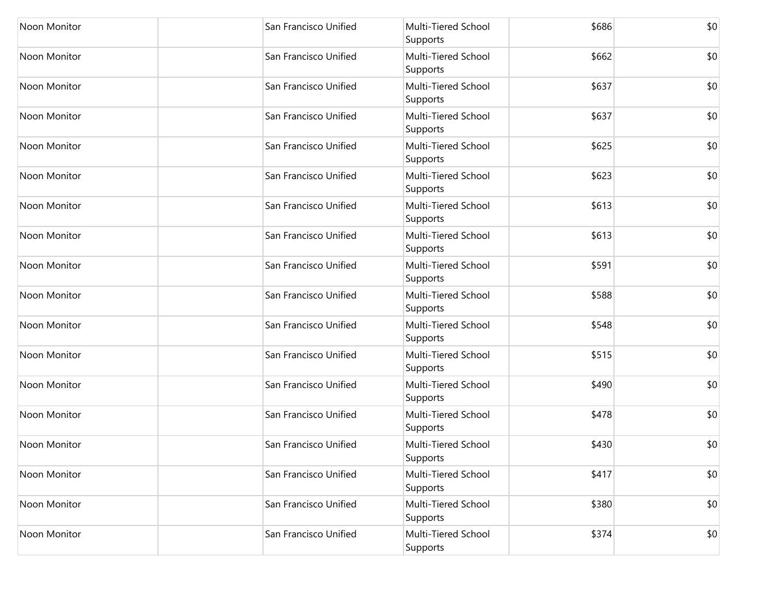| Noon Monitor        | San Francisco Unified | Multi-Tiered School<br>Supports | \$686 | \$0 |
|---------------------|-----------------------|---------------------------------|-------|-----|
| Noon Monitor        | San Francisco Unified | Multi-Tiered School<br>Supports | \$662 | \$0 |
| Noon Monitor        | San Francisco Unified | Multi-Tiered School<br>Supports | \$637 | \$0 |
| <b>Noon Monitor</b> | San Francisco Unified | Multi-Tiered School<br>Supports | \$637 | \$0 |
| Noon Monitor        | San Francisco Unified | Multi-Tiered School<br>Supports | \$625 | \$0 |
| Noon Monitor        | San Francisco Unified | Multi-Tiered School<br>Supports | \$623 | \$0 |
| Noon Monitor        | San Francisco Unified | Multi-Tiered School<br>Supports | \$613 | \$0 |
| Noon Monitor        | San Francisco Unified | Multi-Tiered School<br>Supports | \$613 | \$0 |
| Noon Monitor        | San Francisco Unified | Multi-Tiered School<br>Supports | \$591 | \$0 |
| <b>Noon Monitor</b> | San Francisco Unified | Multi-Tiered School<br>Supports | \$588 | \$0 |
| Noon Monitor        | San Francisco Unified | Multi-Tiered School<br>Supports | \$548 | \$0 |
| Noon Monitor        | San Francisco Unified | Multi-Tiered School<br>Supports | \$515 | \$0 |
| Noon Monitor        | San Francisco Unified | Multi-Tiered School<br>Supports | \$490 | \$0 |
| Noon Monitor        | San Francisco Unified | Multi-Tiered School<br>Supports | \$478 | \$0 |
| Noon Monitor        | San Francisco Unified | Multi-Tiered School<br>Supports | \$430 | \$0 |
| Noon Monitor        | San Francisco Unified | Multi-Tiered School<br>Supports | \$417 | \$0 |
| Noon Monitor        | San Francisco Unified | Multi-Tiered School<br>Supports | \$380 | \$0 |
| Noon Monitor        | San Francisco Unified | Multi-Tiered School<br>Supports | \$374 | \$0 |